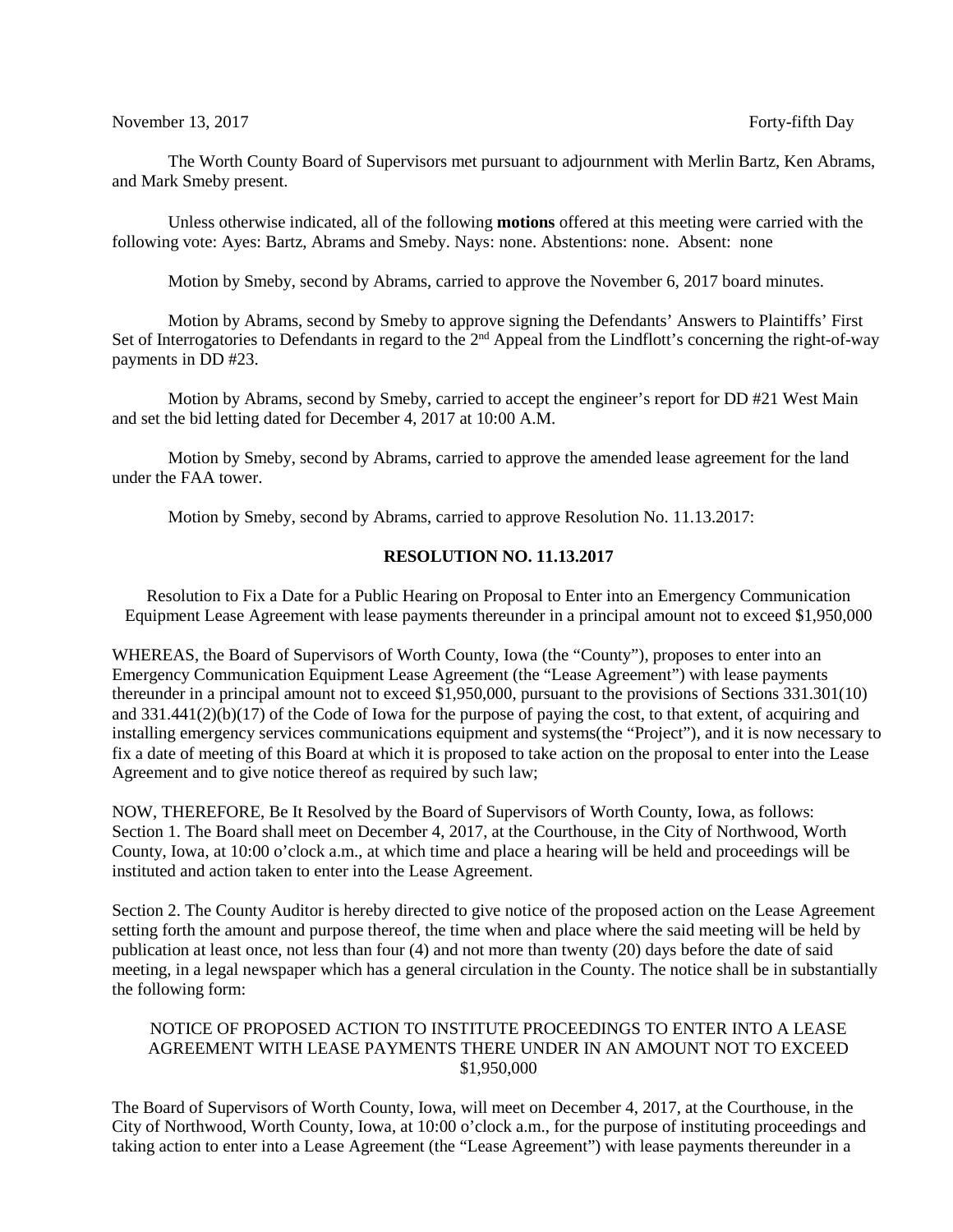The Worth County Board of Supervisors met pursuant to adjournment with Merlin Bartz, Ken Abrams, and Mark Smeby present.

Unless otherwise indicated, all of the following **motions** offered at this meeting were carried with the following vote: Ayes: Bartz, Abrams and Smeby. Nays: none. Abstentions: none. Absent: none

Motion by Smeby, second by Abrams, carried to approve the November 6, 2017 board minutes.

Motion by Abrams, second by Smeby to approve signing the Defendants' Answers to Plaintiffs' First Set of Interrogatories to Defendants in regard to the  $2<sup>nd</sup>$  Appeal from the Lindflott's concerning the right-of-way payments in DD #23.

Motion by Abrams, second by Smeby, carried to accept the engineer's report for DD #21 West Main and set the bid letting dated for December 4, 2017 at 10:00 A.M.

Motion by Smeby, second by Abrams, carried to approve the amended lease agreement for the land under the FAA tower.

Motion by Smeby, second by Abrams, carried to approve Resolution No. 11.13.2017:

## **RESOLUTION NO. 11.13.2017**

Resolution to Fix a Date for a Public Hearing on Proposal to Enter into an Emergency Communication Equipment Lease Agreement with lease payments thereunder in a principal amount not to exceed \$1,950,000

WHEREAS, the Board of Supervisors of Worth County, Iowa (the "County"), proposes to enter into an Emergency Communication Equipment Lease Agreement (the "Lease Agreement") with lease payments thereunder in a principal amount not to exceed \$1,950,000, pursuant to the provisions of Sections 331.301(10) and 331.441(2)(b)(17) of the Code of Iowa for the purpose of paying the cost, to that extent, of acquiring and installing emergency services communications equipment and systems(the "Project"), and it is now necessary to fix a date of meeting of this Board at which it is proposed to take action on the proposal to enter into the Lease Agreement and to give notice thereof as required by such law;

NOW, THEREFORE, Be It Resolved by the Board of Supervisors of Worth County, Iowa, as follows: Section 1. The Board shall meet on December 4, 2017, at the Courthouse, in the City of Northwood, Worth County, Iowa, at 10:00 o'clock a.m., at which time and place a hearing will be held and proceedings will be instituted and action taken to enter into the Lease Agreement.

Section 2. The County Auditor is hereby directed to give notice of the proposed action on the Lease Agreement setting forth the amount and purpose thereof, the time when and place where the said meeting will be held by publication at least once, not less than four (4) and not more than twenty (20) days before the date of said meeting, in a legal newspaper which has a general circulation in the County. The notice shall be in substantially the following form:

## NOTICE OF PROPOSED ACTION TO INSTITUTE PROCEEDINGS TO ENTER INTO A LEASE AGREEMENT WITH LEASE PAYMENTS THERE UNDER IN AN AMOUNT NOT TO EXCEED \$1,950,000

The Board of Supervisors of Worth County, Iowa, will meet on December 4, 2017, at the Courthouse, in the City of Northwood, Worth County, Iowa, at 10:00 o'clock a.m., for the purpose of instituting proceedings and taking action to enter into a Lease Agreement (the "Lease Agreement") with lease payments thereunder in a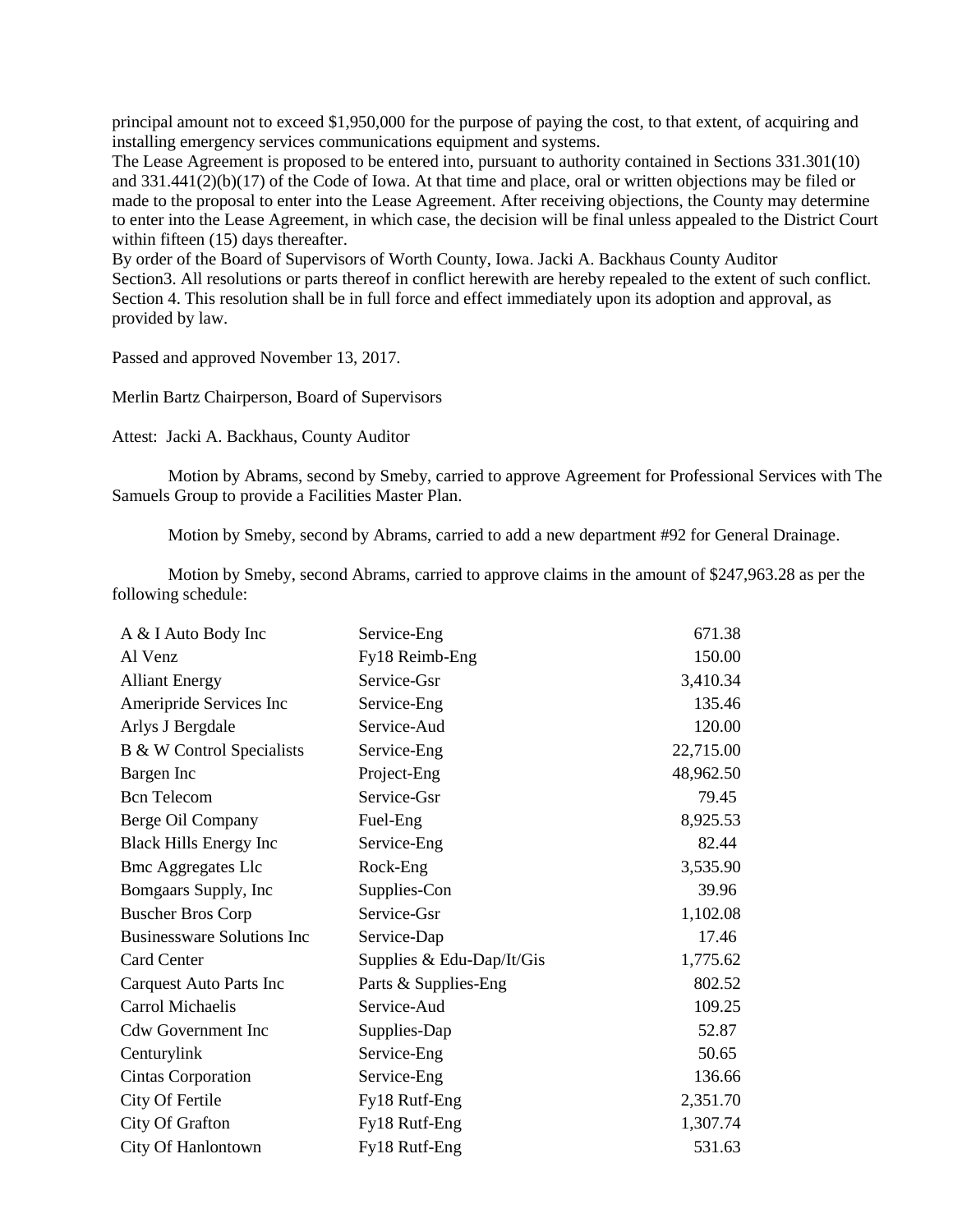principal amount not to exceed \$1,950,000 for the purpose of paying the cost, to that extent, of acquiring and installing emergency services communications equipment and systems.

The Lease Agreement is proposed to be entered into, pursuant to authority contained in Sections 331.301(10) and 331.441(2)(b)(17) of the Code of Iowa. At that time and place, oral or written objections may be filed or made to the proposal to enter into the Lease Agreement. After receiving objections, the County may determine to enter into the Lease Agreement, in which case, the decision will be final unless appealed to the District Court within fifteen (15) days thereafter.

By order of the Board of Supervisors of Worth County, Iowa. Jacki A. Backhaus County Auditor Section3. All resolutions or parts thereof in conflict herewith are hereby repealed to the extent of such conflict. Section 4. This resolution shall be in full force and effect immediately upon its adoption and approval, as provided by law.

Passed and approved November 13, 2017.

Merlin Bartz Chairperson, Board of Supervisors

Attest: Jacki A. Backhaus, County Auditor

Motion by Abrams, second by Smeby, carried to approve Agreement for Professional Services with The Samuels Group to provide a Facilities Master Plan.

Motion by Smeby, second by Abrams, carried to add a new department #92 for General Drainage.

Motion by Smeby, second Abrams, carried to approve claims in the amount of \$247,963.28 as per the following schedule:

| A & I Auto Body Inc               | Service-Eng                 | 671.38    |
|-----------------------------------|-----------------------------|-----------|
| Al Venz                           | Fy18 Reimb-Eng              | 150.00    |
| <b>Alliant Energy</b>             | Service-Gsr                 | 3,410.34  |
| Ameripride Services Inc           | Service-Eng                 | 135.46    |
| Arlys J Bergdale                  | Service-Aud                 | 120.00    |
| B & W Control Specialists         | Service-Eng                 | 22,715.00 |
| Bargen Inc                        | Project-Eng                 | 48,962.50 |
| <b>Bcn</b> Telecom                | Service-Gsr                 | 79.45     |
| Berge Oil Company                 | Fuel-Eng                    | 8,925.53  |
| <b>Black Hills Energy Inc</b>     | Service-Eng                 | 82.44     |
| <b>Bmc Aggregates Llc</b>         | Rock-Eng                    | 3,535.90  |
| Bomgaars Supply, Inc              | Supplies-Con                | 39.96     |
| <b>Buscher Bros Corp</b>          | Service-Gsr                 | 1,102.08  |
| <b>Businessware Solutions Inc</b> | Service-Dap                 | 17.46     |
| Card Center                       | Supplies $& Edu-Dap/It/Gis$ | 1,775.62  |
| <b>Carquest Auto Parts Inc</b>    | Parts & Supplies-Eng        | 802.52    |
| Carrol Michaelis                  | Service-Aud                 | 109.25    |
| <b>Cdw Government Inc</b>         | Supplies-Dap                | 52.87     |
| Centurylink                       | Service-Eng                 | 50.65     |
| Cintas Corporation                | Service-Eng                 | 136.66    |
| City Of Fertile                   | Fy18 Rutf-Eng               | 2,351.70  |
| City Of Grafton                   | Fy18 Rutf-Eng               | 1,307.74  |
| City Of Hanlontown                | Fy18 Rutf-Eng               | 531.63    |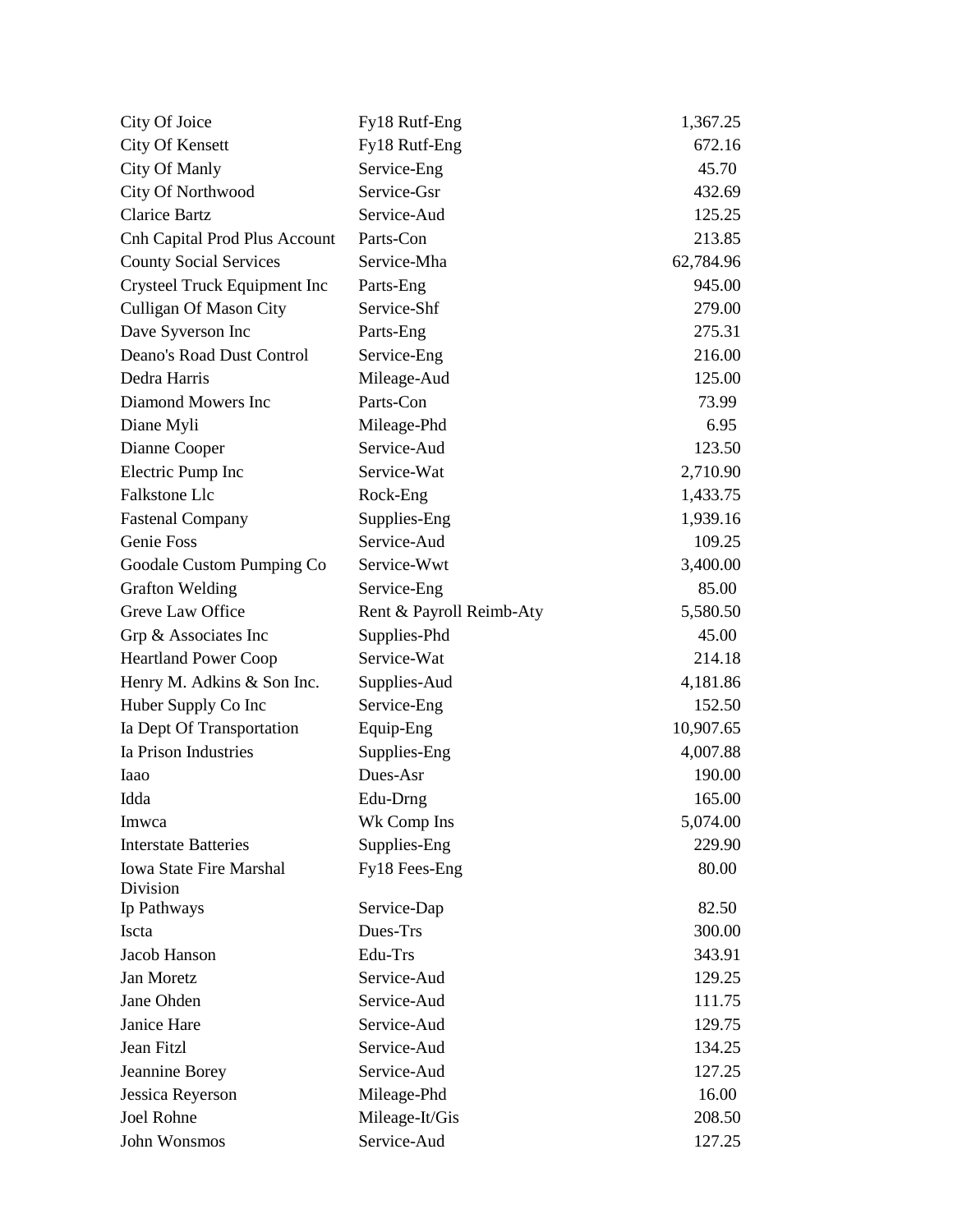| City Of Joice                              | Fy18 Rutf-Eng            | 1,367.25  |
|--------------------------------------------|--------------------------|-----------|
| City Of Kensett                            | Fy18 Rutf-Eng            | 672.16    |
| City Of Manly                              | Service-Eng              | 45.70     |
| City Of Northwood                          | Service-Gsr              | 432.69    |
| <b>Clarice Bartz</b>                       | Service-Aud              | 125.25    |
| <b>Cnh Capital Prod Plus Account</b>       | Parts-Con                | 213.85    |
| <b>County Social Services</b>              | Service-Mha              | 62,784.96 |
| Crysteel Truck Equipment Inc               | Parts-Eng                | 945.00    |
| <b>Culligan Of Mason City</b>              | Service-Shf              | 279.00    |
| Dave Syverson Inc                          | Parts-Eng                | 275.31    |
| Deano's Road Dust Control                  | Service-Eng              | 216.00    |
| Dedra Harris                               | Mileage-Aud              | 125.00    |
| Diamond Mowers Inc                         | Parts-Con                | 73.99     |
| Diane Myli                                 | Mileage-Phd              | 6.95      |
| Dianne Cooper                              | Service-Aud              | 123.50    |
| Electric Pump Inc                          | Service-Wat              | 2,710.90  |
| <b>Falkstone Llc</b>                       | Rock-Eng                 | 1,433.75  |
| <b>Fastenal Company</b>                    | Supplies-Eng             | 1,939.16  |
| Genie Foss                                 | Service-Aud              | 109.25    |
| Goodale Custom Pumping Co                  | Service-Wwt              | 3,400.00  |
| <b>Grafton Welding</b>                     | Service-Eng              | 85.00     |
| Greve Law Office                           | Rent & Payroll Reimb-Aty | 5,580.50  |
| Grp & Associates Inc                       | Supplies-Phd             | 45.00     |
| <b>Heartland Power Coop</b>                | Service-Wat              | 214.18    |
| Henry M. Adkins & Son Inc.                 | Supplies-Aud             | 4,181.86  |
| Huber Supply Co Inc                        | Service-Eng              | 152.50    |
| Ia Dept Of Transportation                  | Equip-Eng                | 10,907.65 |
| Ia Prison Industries                       | Supplies-Eng             | 4,007.88  |
| laao                                       | Dues-Asr                 | 190.00    |
| Idda                                       | Edu-Drng                 | 165.00    |
| Imwca                                      | Wk Comp Ins              | 5,074.00  |
| <b>Interstate Batteries</b>                | Supplies-Eng             | 229.90    |
| <b>Iowa State Fire Marshal</b><br>Division | Fy18 Fees-Eng            | 80.00     |
| Ip Pathways                                | Service-Dap              | 82.50     |
| Iscta                                      | Dues-Trs                 | 300.00    |
| Jacob Hanson                               | Edu-Trs                  | 343.91    |
| Jan Moretz                                 | Service-Aud              | 129.25    |
| Jane Ohden                                 | Service-Aud              | 111.75    |
| Janice Hare                                | Service-Aud              | 129.75    |
| Jean Fitzl                                 | Service-Aud              | 134.25    |
| Jeannine Borey                             | Service-Aud              | 127.25    |
| Jessica Reyerson                           | Mileage-Phd              | 16.00     |
| Joel Rohne                                 | Mileage-It/Gis           | 208.50    |
| John Wonsmos                               | Service-Aud              | 127.25    |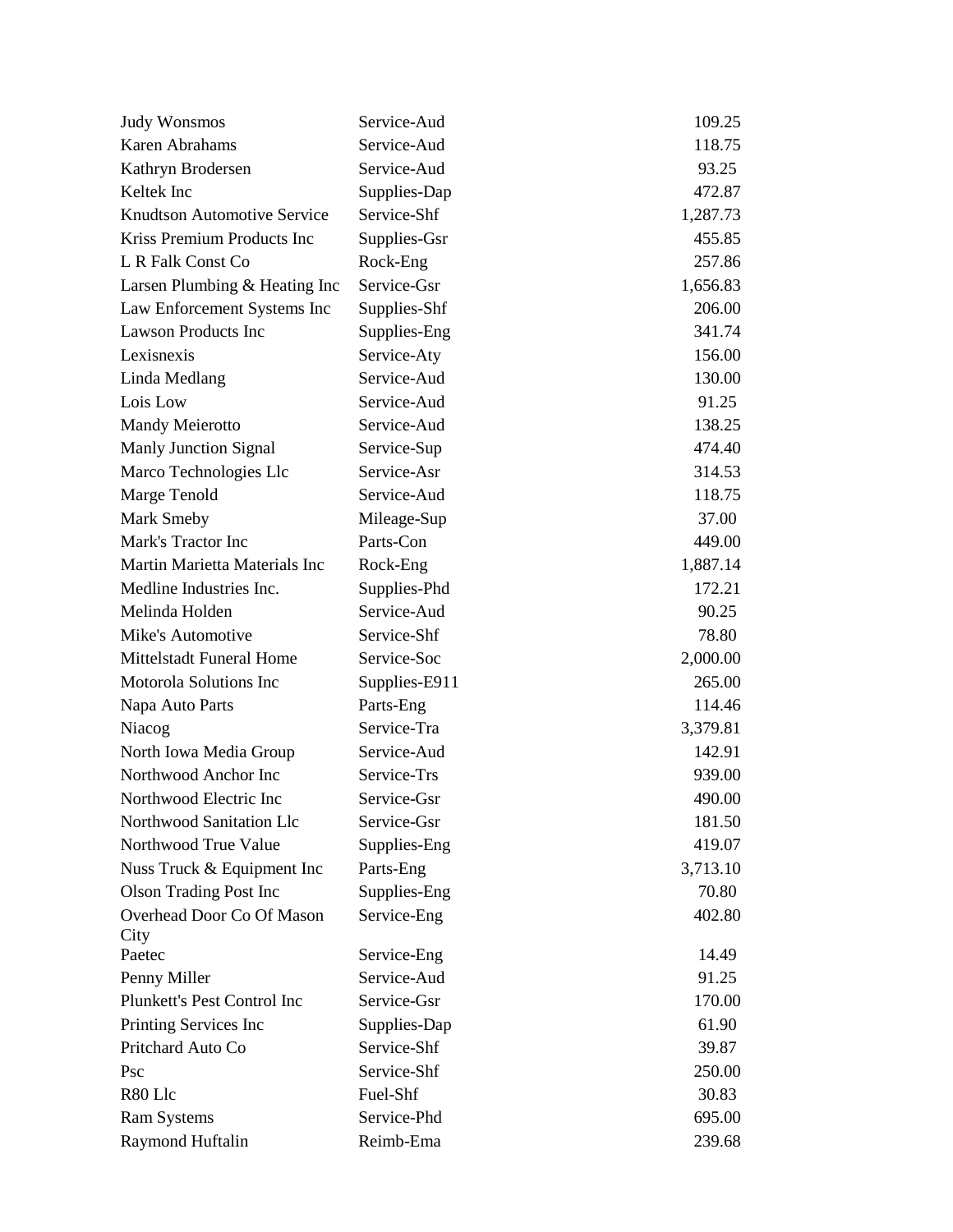| <b>Judy Wonsmos</b>                | Service-Aud   | 109.25   |
|------------------------------------|---------------|----------|
| Karen Abrahams                     | Service-Aud   | 118.75   |
| Kathryn Brodersen                  | Service-Aud   | 93.25    |
| Keltek Inc                         | Supplies-Dap  | 472.87   |
| <b>Knudtson Automotive Service</b> | Service-Shf   | 1,287.73 |
| Kriss Premium Products Inc         | Supplies-Gsr  | 455.85   |
| L R Falk Const Co                  | Rock-Eng      | 257.86   |
| Larsen Plumbing & Heating Inc      | Service-Gsr   | 1,656.83 |
| Law Enforcement Systems Inc        | Supplies-Shf  | 206.00   |
| <b>Lawson Products Inc</b>         | Supplies-Eng  | 341.74   |
| Lexisnexis                         | Service-Aty   | 156.00   |
| Linda Medlang                      | Service-Aud   | 130.00   |
| Lois Low                           | Service-Aud   | 91.25    |
| Mandy Meierotto                    | Service-Aud   | 138.25   |
| <b>Manly Junction Signal</b>       | Service-Sup   | 474.40   |
| Marco Technologies Llc             | Service-Asr   | 314.53   |
| Marge Tenold                       | Service-Aud   | 118.75   |
| Mark Smeby                         | Mileage-Sup   | 37.00    |
| Mark's Tractor Inc                 | Parts-Con     | 449.00   |
| Martin Marietta Materials Inc      | Rock-Eng      | 1,887.14 |
| Medline Industries Inc.            | Supplies-Phd  | 172.21   |
| Melinda Holden                     | Service-Aud   | 90.25    |
| Mike's Automotive                  | Service-Shf   | 78.80    |
| <b>Mittelstadt Funeral Home</b>    | Service-Soc   | 2,000.00 |
| <b>Motorola Solutions Inc</b>      | Supplies-E911 | 265.00   |
| Napa Auto Parts                    | Parts-Eng     | 114.46   |
| Niacog                             | Service-Tra   | 3,379.81 |
| North Iowa Media Group             | Service-Aud   | 142.91   |
| Northwood Anchor Inc               | Service-Trs   | 939.00   |
| Northwood Electric Inc             | Service-Gsr   | 490.00   |
| Northwood Sanitation Llc           | Service-Gsr   | 181.50   |
| Northwood True Value               | Supplies-Eng  | 419.07   |
| Nuss Truck & Equipment Inc         | Parts-Eng     | 3,713.10 |
| <b>Olson Trading Post Inc</b>      | Supplies-Eng  | 70.80    |
| Overhead Door Co Of Mason<br>City  | Service-Eng   | 402.80   |
| Paetec                             | Service-Eng   | 14.49    |
| Penny Miller                       | Service-Aud   | 91.25    |
| Plunkett's Pest Control Inc        | Service-Gsr   | 170.00   |
| Printing Services Inc              | Supplies-Dap  | 61.90    |
| Pritchard Auto Co                  | Service-Shf   | 39.87    |
| Psc                                | Service-Shf   | 250.00   |
| R80 Llc                            | Fuel-Shf      | 30.83    |
| <b>Ram Systems</b>                 | Service-Phd   | 695.00   |
| Raymond Huftalin                   | Reimb-Ema     | 239.68   |